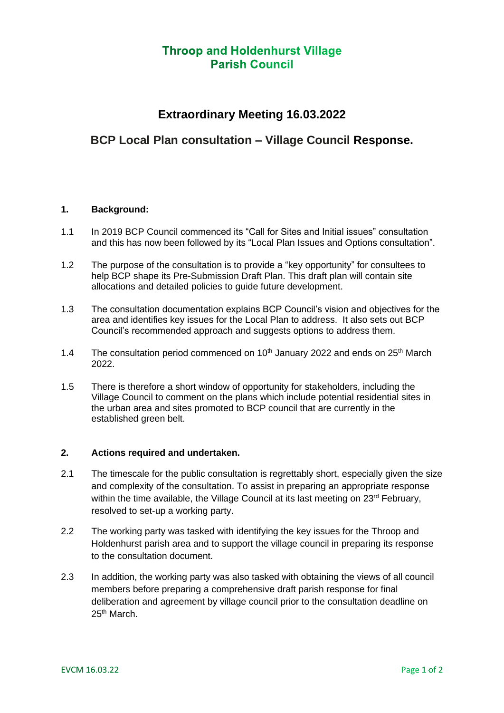# **Throop and Holdenhurst Village Parish Council**

# **Extraordinary Meeting 16.03.2022**

### **BCP Local Plan consultation – Village Council Response.**

#### **1. Background:**

- 1.1 In 2019 BCP Council commenced its "Call for Sites and Initial issues" consultation and this has now been followed by its "Local Plan Issues and Options consultation".
- 1.2 The purpose of the consultation is to provide a "key opportunity" for consultees to help BCP shape its Pre-Submission Draft Plan. This draft plan will contain site allocations and detailed policies to guide future development.
- 1.3 The consultation documentation explains BCP Council's vision and objectives for the area and identifies key issues for the Local Plan to address. It also sets out BCP Council's recommended approach and suggests options to address them.
- 1.4 The consultation period commenced on  $10<sup>th</sup>$  January 2022 and ends on  $25<sup>th</sup>$  March 2022.
- 1.5 There is therefore a short window of opportunity for stakeholders, including the Village Council to comment on the plans which include potential residential sites in the urban area and sites promoted to BCP council that are currently in the established green belt.

### **2. Actions required and undertaken.**

- 2.1 The timescale for the public consultation is regrettably short, especially given the size and complexity of the consultation. To assist in preparing an appropriate response within the time available, the Village Council at its last meeting on 23<sup>rd</sup> February, resolved to set-up a working party.
- 2.2 The working party was tasked with identifying the key issues for the Throop and Holdenhurst parish area and to support the village council in preparing its response to the consultation document.
- 2.3 In addition, the working party was also tasked with obtaining the views of all council members before preparing a comprehensive draft parish response for final deliberation and agreement by village council prior to the consultation deadline on 25th March.